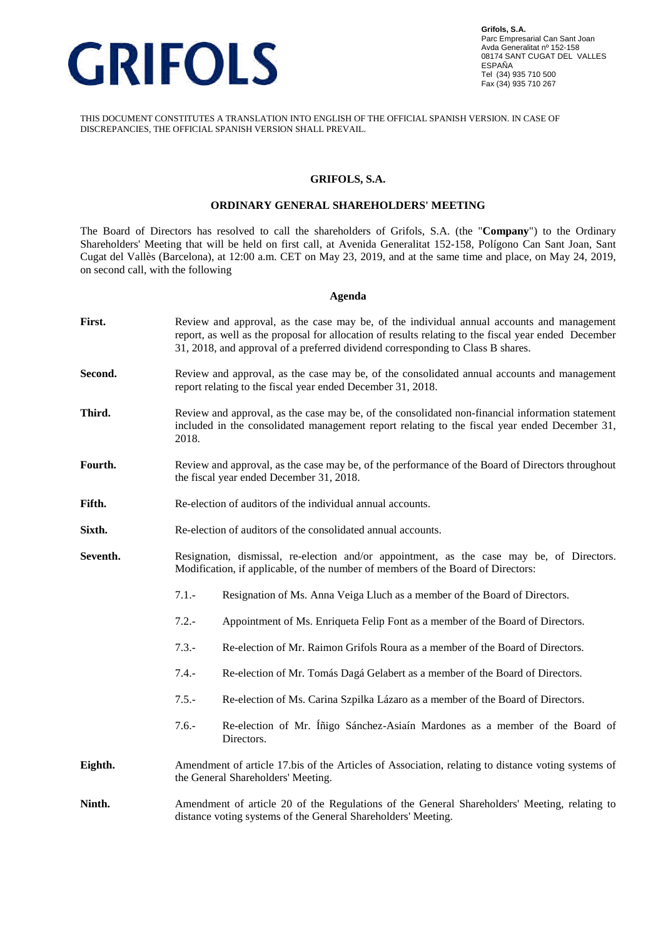

THIS DOCUMENT CONSTITUTES A TRANSLATION INTO ENGLISH OF THE OFFICIAL SPANISH VERSION. IN CASE OF DISCREPANCIES, THE OFFICIAL SPANISH VERSION SHALL PREVAIL.

## **GRIFOLS, S.A.**

## **ORDINARY GENERAL SHAREHOLDERS' MEETING**

The Board of Directors has resolved to call the shareholders of Grifols, S.A. (the "**Company**") to the Ordinary Shareholders' Meeting that will be held on first call, at Avenida Generalitat 152-158, Polígono Can Sant Joan, Sant Cugat del Vallès (Barcelona), at 12:00 a.m. CET on May 23, 2019, and at the same time and place, on May 24, 2019, on second call, with the following

#### **Agenda**

| First.   | Review and approval, as the case may be, of the individual annual accounts and management<br>report, as well as the proposal for allocation of results relating to the fiscal year ended December<br>31, 2018, and approval of a preferred dividend corresponding to Class B shares. |                                                                                            |  |
|----------|--------------------------------------------------------------------------------------------------------------------------------------------------------------------------------------------------------------------------------------------------------------------------------------|--------------------------------------------------------------------------------------------|--|
| Second.  | Review and approval, as the case may be, of the consolidated annual accounts and management<br>report relating to the fiscal year ended December 31, 2018.                                                                                                                           |                                                                                            |  |
| Third.   | Review and approval, as the case may be, of the consolidated non-financial information statement<br>included in the consolidated management report relating to the fiscal year ended December 31,<br>2018.                                                                           |                                                                                            |  |
| Fourth.  | Review and approval, as the case may be, of the performance of the Board of Directors throughout<br>the fiscal year ended December 31, 2018.                                                                                                                                         |                                                                                            |  |
| Fifth.   | Re-election of auditors of the individual annual accounts.                                                                                                                                                                                                                           |                                                                                            |  |
| Sixth.   | Re-election of auditors of the consolidated annual accounts.                                                                                                                                                                                                                         |                                                                                            |  |
| Seventh. | Resignation, dismissal, re-election and/or appointment, as the case may be, of Directors.<br>Modification, if applicable, of the number of members of the Board of Directors:                                                                                                        |                                                                                            |  |
|          | $7.1 -$                                                                                                                                                                                                                                                                              | Resignation of Ms. Anna Veiga Lluch as a member of the Board of Directors.                 |  |
|          | $7.2 -$                                                                                                                                                                                                                                                                              | Appointment of Ms. Enriqueta Felip Font as a member of the Board of Directors.             |  |
|          | $7.3 -$                                                                                                                                                                                                                                                                              | Re-election of Mr. Raimon Grifols Roura as a member of the Board of Directors.             |  |
|          | $7.4. -$                                                                                                                                                                                                                                                                             | Re-election of Mr. Tomás Dagá Gelabert as a member of the Board of Directors.              |  |
|          | $7.5 -$                                                                                                                                                                                                                                                                              | Re-election of Ms. Carina Szpilka Lázaro as a member of the Board of Directors.            |  |
|          | $7.6 -$                                                                                                                                                                                                                                                                              | Re-election of Mr. Inigo Sánchez-Asiaín Mardones as a member of the Board of<br>Directors. |  |
| Eighth.  | Amendment of article 17 bis of the Articles of Association, relating to distance voting systems of<br>the General Shareholders' Meeting.                                                                                                                                             |                                                                                            |  |
| Ninth.   | Amendment of article 20 of the Regulations of the General Shareholders' Meeting, relating to<br>distance voting systems of the General Shareholders' Meeting.                                                                                                                        |                                                                                            |  |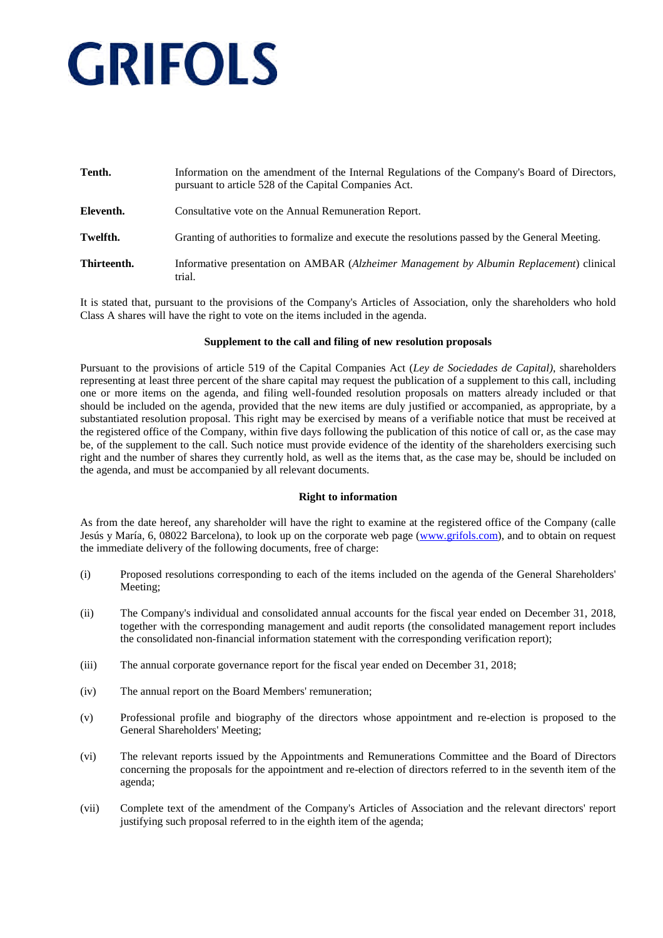| Tenth.      | Information on the amendment of the Internal Regulations of the Company's Board of Directors,<br>pursuant to article 528 of the Capital Companies Act. |  |  |
|-------------|--------------------------------------------------------------------------------------------------------------------------------------------------------|--|--|
| Eleventh.   | Consultative vote on the Annual Remuneration Report.                                                                                                   |  |  |
| Twelfth.    | Granting of authorities to formalize and execute the resolutions passed by the General Meeting.                                                        |  |  |
| Thirteenth. | Informative presentation on AMBAR (Alzheimer Management by Albumin Replacement) clinical<br>trial.                                                     |  |  |

It is stated that, pursuant to the provisions of the Company's Articles of Association, only the shareholders who hold Class A shares will have the right to vote on the items included in the agenda.

### **Supplement to the call and filing of new resolution proposals**

Pursuant to the provisions of article 519 of the Capital Companies Act (*Ley de Sociedades de Capital)*, shareholders representing at least three percent of the share capital may request the publication of a supplement to this call, including one or more items on the agenda, and filing well-founded resolution proposals on matters already included or that should be included on the agenda, provided that the new items are duly justified or accompanied, as appropriate, by a substantiated resolution proposal. This right may be exercised by means of a verifiable notice that must be received at the registered office of the Company, within five days following the publication of this notice of call or, as the case may be, of the supplement to the call. Such notice must provide evidence of the identity of the shareholders exercising such right and the number of shares they currently hold, as well as the items that, as the case may be, should be included on the agenda, and must be accompanied by all relevant documents.

### **Right to information**

As from the date hereof, any shareholder will have the right to examine at the registered office of the Company (calle Jesús y María, 6, 08022 Barcelona), to look up on the corporate web page (www.grifols.com), and to obtain on request the immediate delivery of the following documents, free of charge:

- (i) Proposed resolutions corresponding to each of the items included on the agenda of the General Shareholders' Meeting;
- (ii) The Company's individual and consolidated annual accounts for the fiscal year ended on December 31, 2018, together with the corresponding management and audit reports (the consolidated management report includes the consolidated non-financial information statement with the corresponding verification report);
- (iii) The annual corporate governance report for the fiscal year ended on December 31, 2018;
- (iv) The annual report on the Board Members' remuneration;
- (v) Professional profile and biography of the directors whose appointment and re-election is proposed to the General Shareholders' Meeting;
- (vi) The relevant reports issued by the Appointments and Remunerations Committee and the Board of Directors concerning the proposals for the appointment and re-election of directors referred to in the seventh item of the agenda;
- (vii) Complete text of the amendment of the Company's Articles of Association and the relevant directors' report justifying such proposal referred to in the eighth item of the agenda;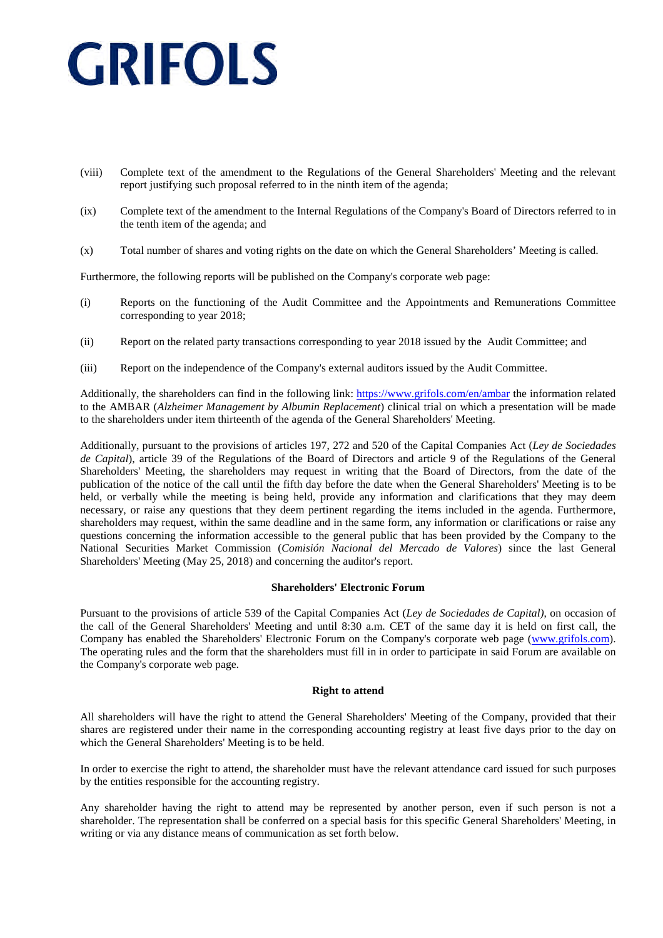- (viii) Complete text of the amendment to the Regulations of the General Shareholders' Meeting and the relevant report justifying such proposal referred to in the ninth item of the agenda;
- (ix) Complete text of the amendment to the Internal Regulations of the Company's Board of Directors referred to in the tenth item of the agenda; and
- (x) Total number of shares and voting rights on the date on which the General Shareholders' Meeting is called.

Furthermore, the following reports will be published on the Company's corporate web page:

- (i) Reports on the functioning of the Audit Committee and the Appointments and Remunerations Committee corresponding to year 2018;
- (ii) Report on the related party transactions corresponding to year 2018 issued by the Audit Committee; and
- (iii) Report on the independence of the Company's external auditors issued by the Audit Committee.

Additionally, the shareholders can find in the following link: https://www.grifols.com/en/ambar the information related to the AMBAR (*Alzheimer Management by Albumin Replacement*) clinical trial on which a presentation will be made to the shareholders under item thirteenth of the agenda of the General Shareholders' Meeting.

Additionally, pursuant to the provisions of articles 197, 272 and 520 of the Capital Companies Act (*Ley de Sociedades de Capital*), article 39 of the Regulations of the Board of Directors and article 9 of the Regulations of the General Shareholders' Meeting, the shareholders may request in writing that the Board of Directors, from the date of the publication of the notice of the call until the fifth day before the date when the General Shareholders' Meeting is to be held, or verbally while the meeting is being held, provide any information and clarifications that they may deem necessary, or raise any questions that they deem pertinent regarding the items included in the agenda. Furthermore, shareholders may request, within the same deadline and in the same form, any information or clarifications or raise any questions concerning the information accessible to the general public that has been provided by the Company to the National Securities Market Commission (*Comisión Nacional del Mercado de Valores*) since the last General Shareholders' Meeting (May 25, 2018) and concerning the auditor's report.

### **Shareholders' Electronic Forum**

Pursuant to the provisions of article 539 of the Capital Companies Act (*Ley de Sociedades de Capital)*, on occasion of the call of the General Shareholders' Meeting and until 8:30 a.m. CET of the same day it is held on first call, the Company has enabled the Shareholders' Electronic Forum on the Company's corporate web page (www.grifols.com). The operating rules and the form that the shareholders must fill in in order to participate in said Forum are available on the Company's corporate web page.

### **Right to attend**

All shareholders will have the right to attend the General Shareholders' Meeting of the Company, provided that their shares are registered under their name in the corresponding accounting registry at least five days prior to the day on which the General Shareholders' Meeting is to be held.

In order to exercise the right to attend, the shareholder must have the relevant attendance card issued for such purposes by the entities responsible for the accounting registry.

Any shareholder having the right to attend may be represented by another person, even if such person is not a shareholder. The representation shall be conferred on a special basis for this specific General Shareholders' Meeting, in writing or via any distance means of communication as set forth below.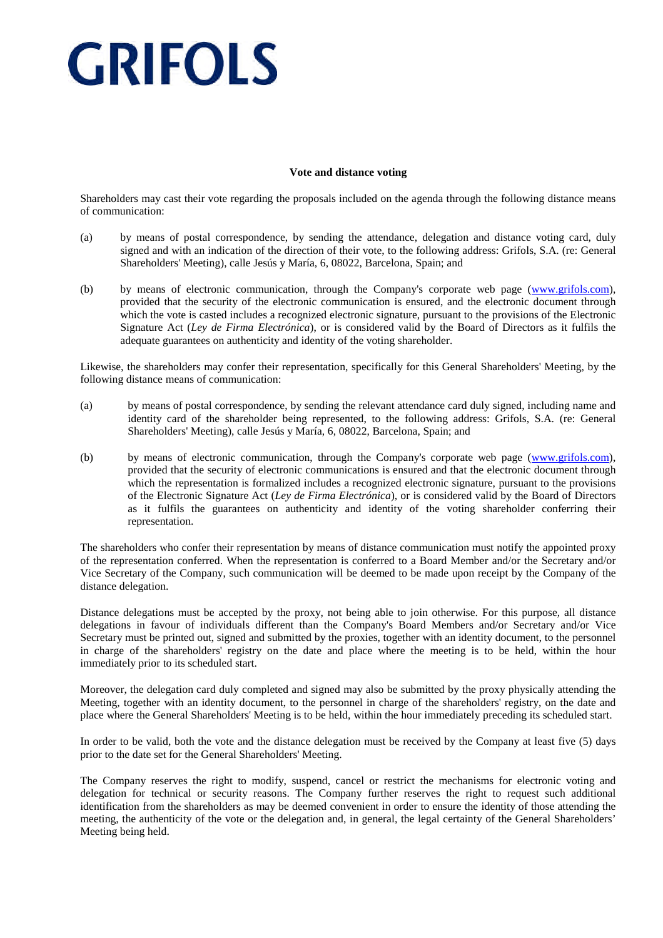## **Vote and distance voting**

Shareholders may cast their vote regarding the proposals included on the agenda through the following distance means of communication:

- (a) by means of postal correspondence, by sending the attendance, delegation and distance voting card, duly signed and with an indication of the direction of their vote, to the following address: Grifols, S.A. (re: General Shareholders' Meeting), calle Jesús y María, 6, 08022, Barcelona, Spain; and
- (b) by means of electronic communication, through the Company's corporate web page (www.grifols.com), provided that the security of the electronic communication is ensured, and the electronic document through which the vote is casted includes a recognized electronic signature, pursuant to the provisions of the Electronic Signature Act (*Ley de Firma Electrónica*), or is considered valid by the Board of Directors as it fulfils the adequate guarantees on authenticity and identity of the voting shareholder.

Likewise, the shareholders may confer their representation, specifically for this General Shareholders' Meeting, by the following distance means of communication:

- (a) by means of postal correspondence, by sending the relevant attendance card duly signed, including name and identity card of the shareholder being represented, to the following address: Grifols, S.A. (re: General Shareholders' Meeting), calle Jesús y María, 6, 08022, Barcelona, Spain; and
- (b) by means of electronic communication, through the Company's corporate web page (www.grifols.com), provided that the security of electronic communications is ensured and that the electronic document through which the representation is formalized includes a recognized electronic signature, pursuant to the provisions of the Electronic Signature Act (*Ley de Firma Electrónica*), or is considered valid by the Board of Directors as it fulfils the guarantees on authenticity and identity of the voting shareholder conferring their representation.

The shareholders who confer their representation by means of distance communication must notify the appointed proxy of the representation conferred. When the representation is conferred to a Board Member and/or the Secretary and/or Vice Secretary of the Company, such communication will be deemed to be made upon receipt by the Company of the distance delegation.

Distance delegations must be accepted by the proxy, not being able to join otherwise. For this purpose, all distance delegations in favour of individuals different than the Company's Board Members and/or Secretary and/or Vice Secretary must be printed out, signed and submitted by the proxies, together with an identity document, to the personnel in charge of the shareholders' registry on the date and place where the meeting is to be held, within the hour immediately prior to its scheduled start.

Moreover, the delegation card duly completed and signed may also be submitted by the proxy physically attending the Meeting, together with an identity document, to the personnel in charge of the shareholders' registry, on the date and place where the General Shareholders' Meeting is to be held, within the hour immediately preceding its scheduled start.

In order to be valid, both the vote and the distance delegation must be received by the Company at least five (5) days prior to the date set for the General Shareholders' Meeting.

The Company reserves the right to modify, suspend, cancel or restrict the mechanisms for electronic voting and delegation for technical or security reasons. The Company further reserves the right to request such additional identification from the shareholders as may be deemed convenient in order to ensure the identity of those attending the meeting, the authenticity of the vote or the delegation and, in general, the legal certainty of the General Shareholders' Meeting being held.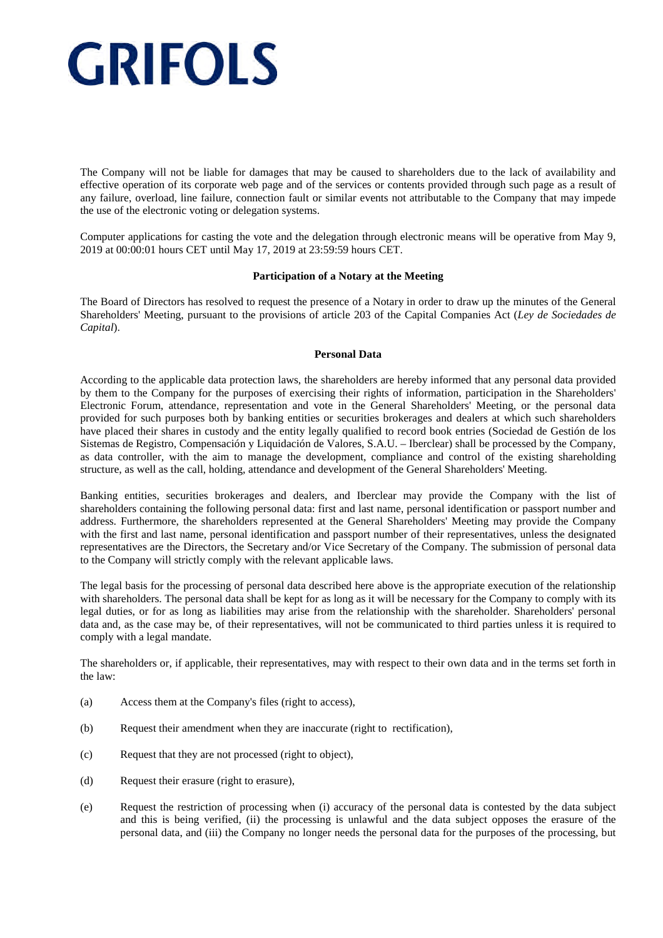The Company will not be liable for damages that may be caused to shareholders due to the lack of availability and effective operation of its corporate web page and of the services or contents provided through such page as a result of any failure, overload, line failure, connection fault or similar events not attributable to the Company that may impede the use of the electronic voting or delegation systems.

Computer applications for casting the vote and the delegation through electronic means will be operative from May 9, 2019 at 00:00:01 hours CET until May 17, 2019 at 23:59:59 hours CET.

### **Participation of a Notary at the Meeting**

The Board of Directors has resolved to request the presence of a Notary in order to draw up the minutes of the General Shareholders' Meeting, pursuant to the provisions of article 203 of the Capital Companies Act (*Ley de Sociedades de Capital*).

### **Personal Data**

According to the applicable data protection laws, the shareholders are hereby informed that any personal data provided by them to the Company for the purposes of exercising their rights of information, participation in the Shareholders' Electronic Forum, attendance, representation and vote in the General Shareholders' Meeting, or the personal data provided for such purposes both by banking entities or securities brokerages and dealers at which such shareholders have placed their shares in custody and the entity legally qualified to record book entries (Sociedad de Gestión de los Sistemas de Registro, Compensación y Liquidación de Valores, S.A.U. – Iberclear) shall be processed by the Company, as data controller, with the aim to manage the development, compliance and control of the existing shareholding structure, as well as the call, holding, attendance and development of the General Shareholders' Meeting.

Banking entities, securities brokerages and dealers, and Iberclear may provide the Company with the list of shareholders containing the following personal data: first and last name, personal identification or passport number and address. Furthermore, the shareholders represented at the General Shareholders' Meeting may provide the Company with the first and last name, personal identification and passport number of their representatives, unless the designated representatives are the Directors, the Secretary and/or Vice Secretary of the Company. The submission of personal data to the Company will strictly comply with the relevant applicable laws.

The legal basis for the processing of personal data described here above is the appropriate execution of the relationship with shareholders. The personal data shall be kept for as long as it will be necessary for the Company to comply with its legal duties, or for as long as liabilities may arise from the relationship with the shareholder. Shareholders' personal data and, as the case may be, of their representatives, will not be communicated to third parties unless it is required to comply with a legal mandate.

The shareholders or, if applicable, their representatives, may with respect to their own data and in the terms set forth in the law:

- (a) Access them at the Company's files (right to access),
- (b) Request their amendment when they are inaccurate (right to rectification),
- (c) Request that they are not processed (right to object),
- (d) Request their erasure (right to erasure),
- (e) Request the restriction of processing when (i) accuracy of the personal data is contested by the data subject and this is being verified, (ii) the processing is unlawful and the data subject opposes the erasure of the personal data, and (iii) the Company no longer needs the personal data for the purposes of the processing, but